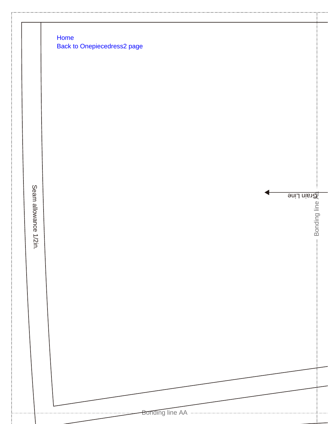Home **Back to Onepiecedress2 page** 

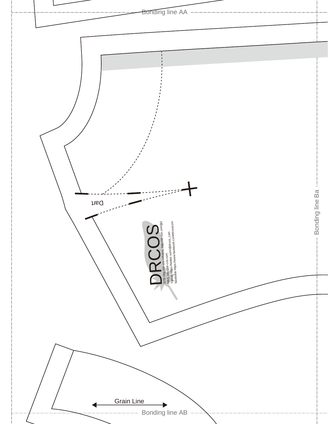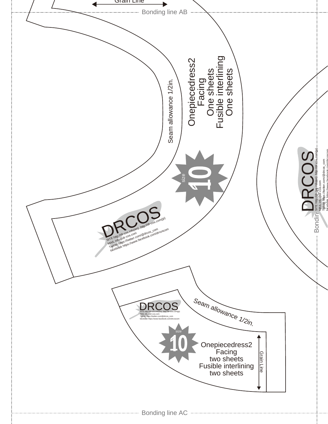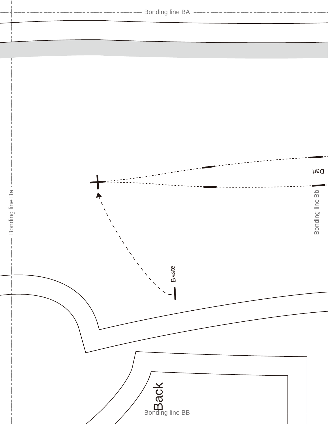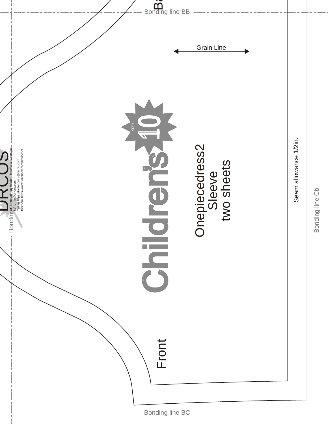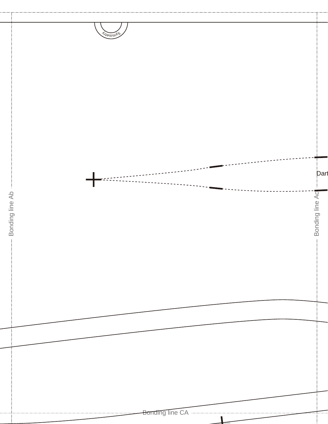![](_page_6_Figure_0.jpeg)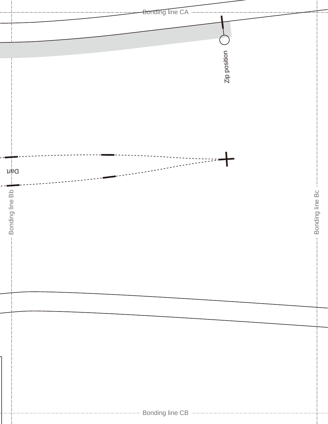![](_page_7_Figure_0.jpeg)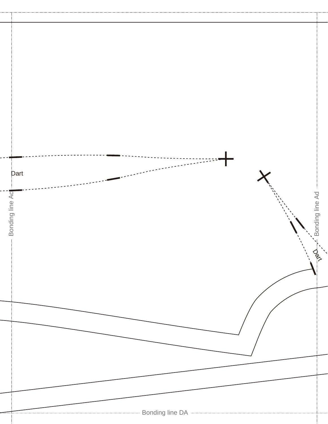![](_page_8_Figure_0.jpeg)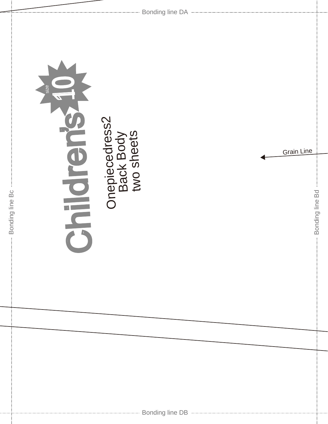![](_page_9_Picture_0.jpeg)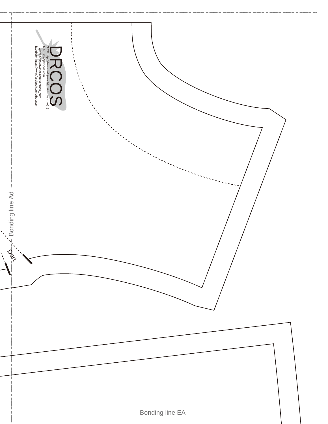![](_page_10_Picture_0.jpeg)